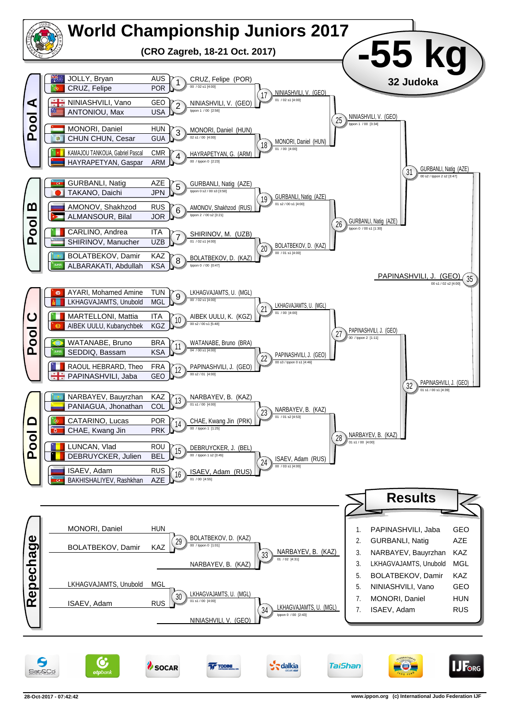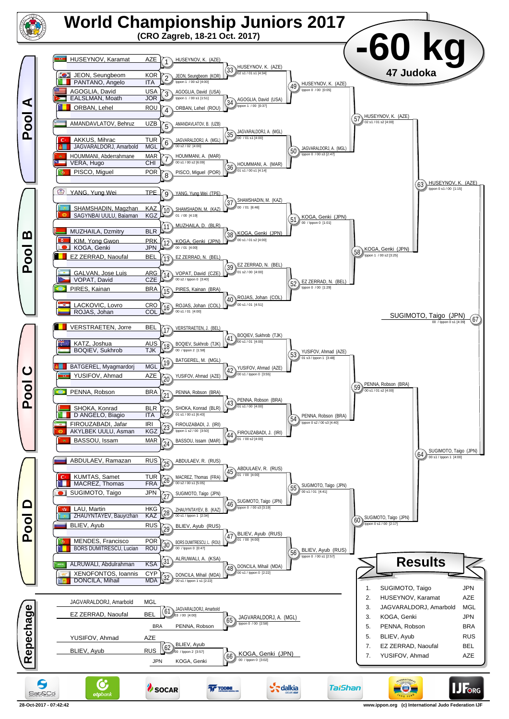

**28-Oct-2017 - 07:42:42 www.ippon.org (c) International Judo Federation IJF**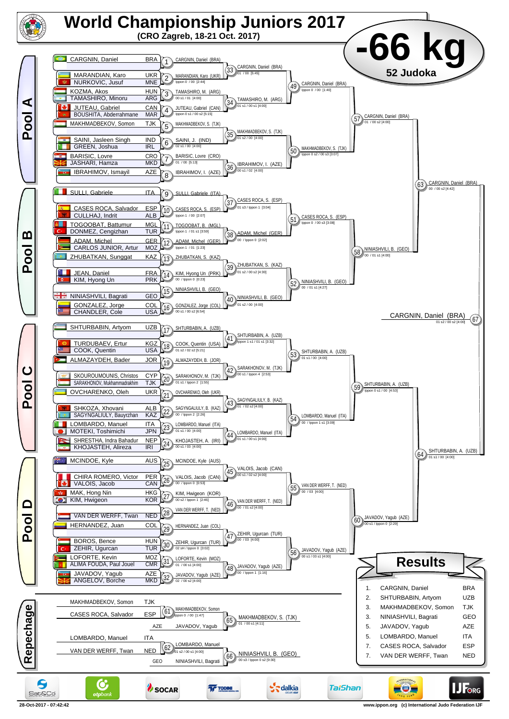

**28-Oct-2017 - 07:42:42 www.ippon.org (c) International Judo Federation IJF**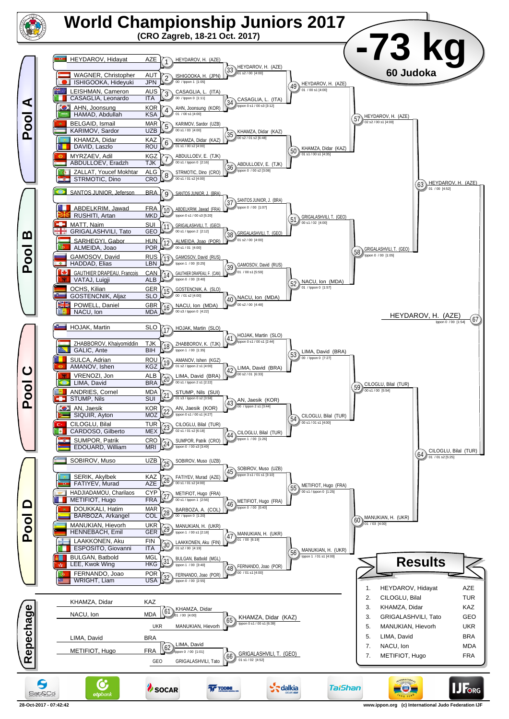

**28-Oct-2017 - 07:42:42 www.ippon.org (c) International Judo Federation IJF**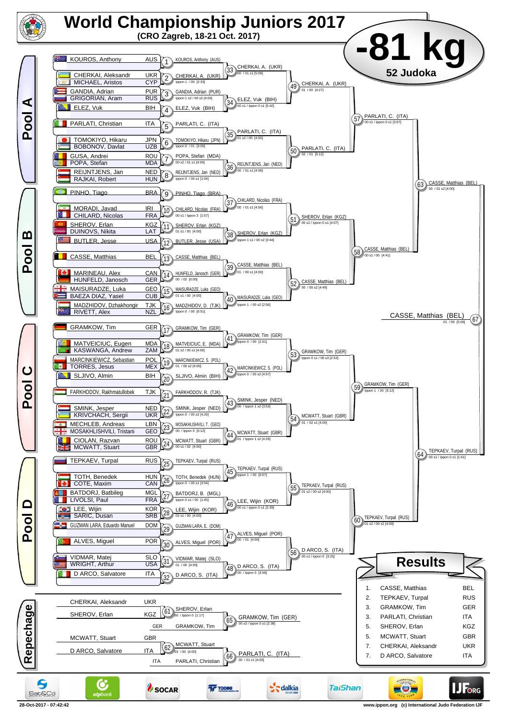

**<sup>28-</sup>Oct-2017 - 07:42:42 www.ippon.org (c) International Judo Federation IJF**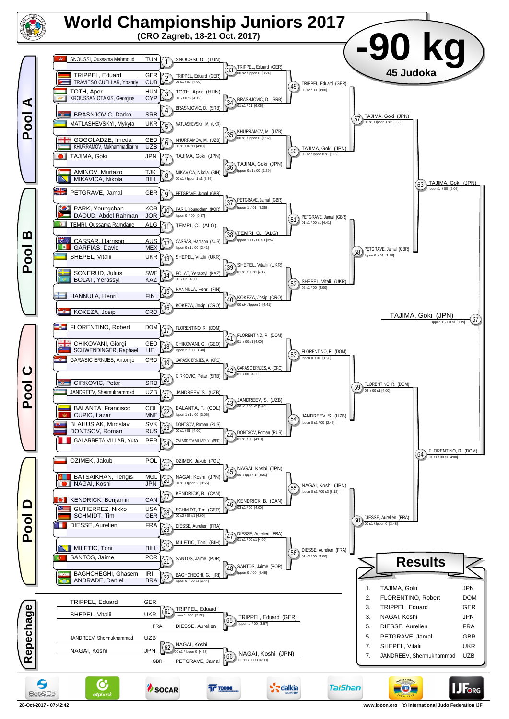

**<sup>28-</sup>Oct-2017 - 07:42:42 www.ippon.org (c) International Judo Federation IJF**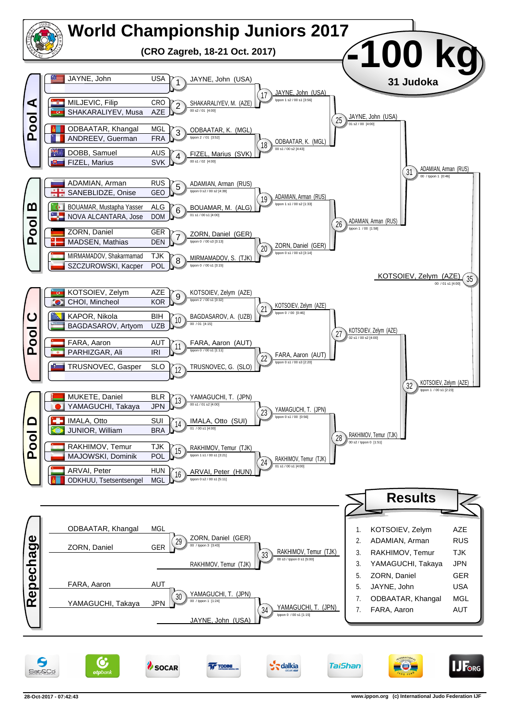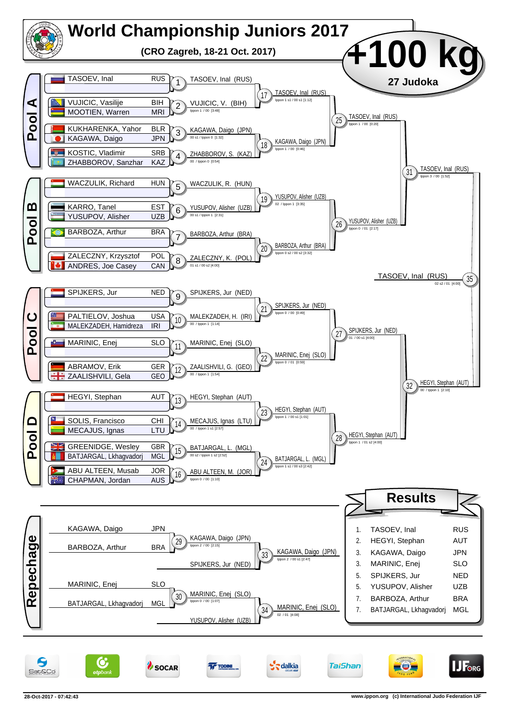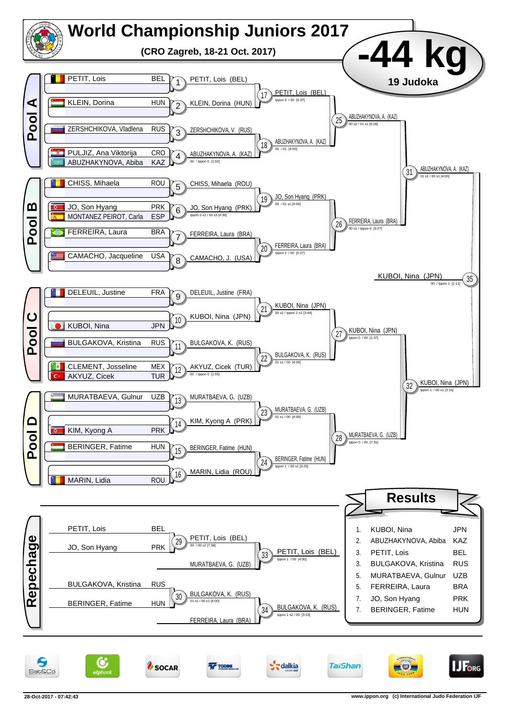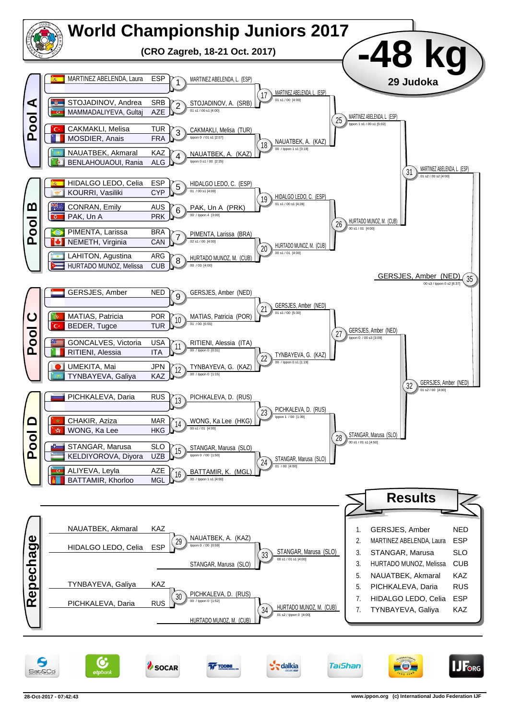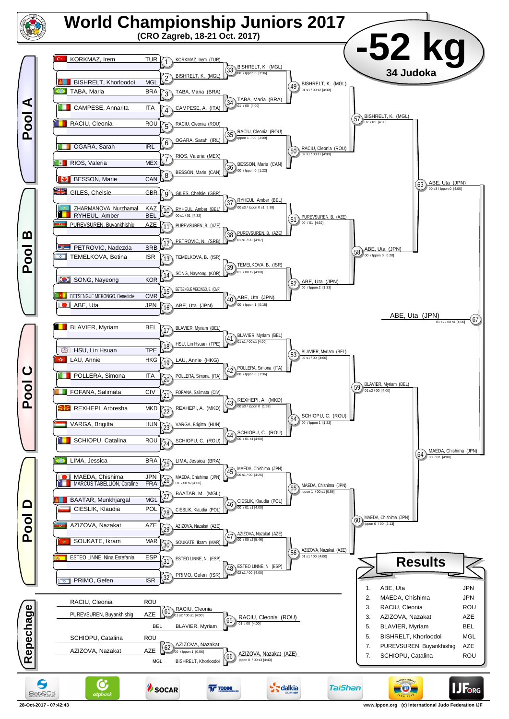

**<sup>28-</sup>Oct-2017 - 07:42:43 www.ippon.org (c) International Judo Federation IJF**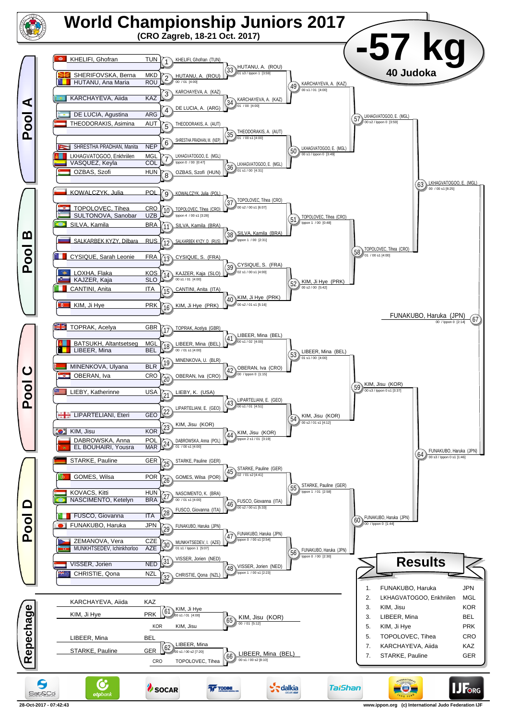

**28-Oct-2017 - 07:42:43 www.ippon.org (c) International Judo Federation IJF**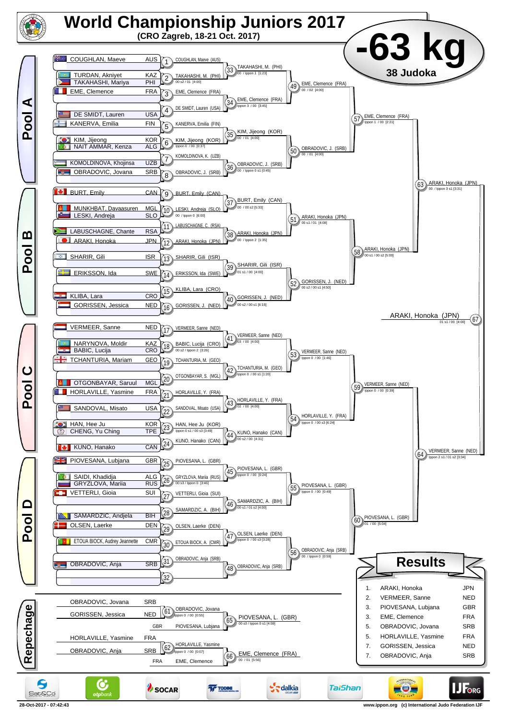

**<sup>28-</sup>Oct-2017 - 07:42:43 www.ippon.org (c) International Judo Federation IJF**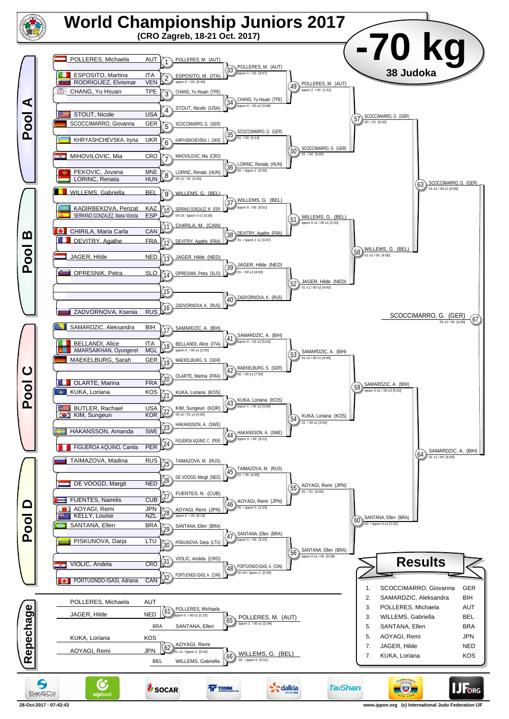

**<sup>28-</sup>Oct-2017 - 07:42:43 www.ippon.org (c) International Judo Federation IJF**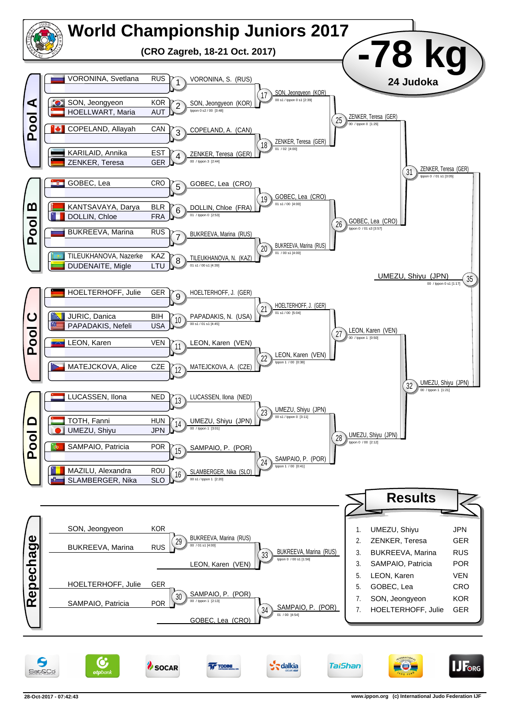